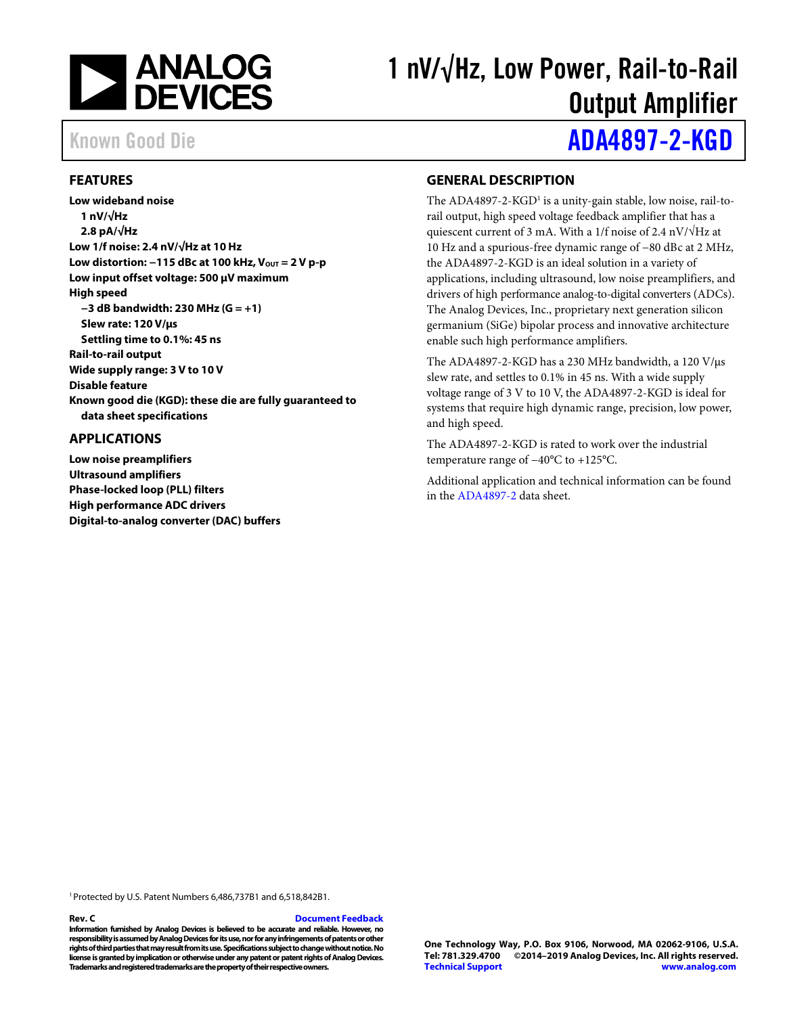

# 1 nV/√Hz, Low Power, Rail-to-Rail Output Amplifier

# Known Good Die **[ADA4897-2-KGD](https://www.analog.com/ada4897-2-kgd?doc=ada4897-2-kgd.pdf)**

### <span id="page-0-0"></span>**FEATURES**

**Low wideband noise 1 nV/√Hz 2.8 pA/√Hz Low 1/f noise: 2.4 nV/√Hz at 10 Hz** Low distortion: −115 dBc at 100 kHz, V<sub>OUT</sub> = 2 V p-p **Low input offset voltage: 500 μV maximum High speed −3 dB bandwidth: 230 MHz (G = +1) Slew rate: 120 V/μs Settling time to 0.1%: 45 ns Rail-to-rail output Wide supply range: 3 V to 10 V Disable feature Known good die (KGD): these die are fully guaranteed to data sheet specifications**

### <span id="page-0-1"></span>**APPLICATIONS**

**Low noise preamplifiers Ultrasound amplifiers Phase-locked loop (PLL) filters High performance ADC drivers Digital-to-analog converter (DAC) buffers**

### <span id="page-0-2"></span>**GENERAL DESCRIPTION**

The ADA4897-2-KGD<sup>1</sup> is a unity-gain stable, low noise, rail-torail output, high speed voltage feedback amplifier that has a quiescent current of 3 mA. With a 1/f noise of 2.4 nV/√Hz at 10 Hz and a spurious-free dynamic range of −80 dBc at 2 MHz, the ADA4897-2-KGD is an ideal solution in a variety of applications, including ultrasound, low noise preamplifiers, and drivers of high performance analog-to-digital converters (ADCs). The Analog Devices, Inc., proprietary next generation silicon germanium (SiGe) bipolar process and innovative architecture enable such high performance amplifiers.

The ADA4897-2-KGD has a 230 MHz bandwidth, a 120 V/μs slew rate, and settles to 0.1% in 45 ns. With a wide supply voltage range of 3 V to 10 V, the ADA4897-2-KGD is ideal for systems that require high dynamic range, precision, low power, and high speed.

The ADA4897-2-KGD is rated to work over the industrial temperature range of −40°C to +125°C.

Additional application and technical information can be found in the [ADA4897-2](http://www.analog.com/ADA4897-2?doc=ADA4897-2-KGD.pdf) data sheet.

1Protected by U.S. Patent Numbers 6,486,737B1 and 6,518,842B1.

### **Rev. C [Document Feedback](https://form.analog.com/Form_Pages/feedback/documentfeedback.aspx?doc=ADA4897-2-KGD.pdf&product=ADA4897-2-KGD&rev=C)**

**Information furnished by Analog Devices is believed to be accurate and reliable. However, no responsibility is assumed by Analog Devices for its use, nor for any infringements of patents or other rights of third parties that may result from its use. Specifications subject to change without notice. No license is granted by implication or otherwise under any patent or patent rights of Analog Devices. Trademarks and registered trademarks are the property of their respective owners.**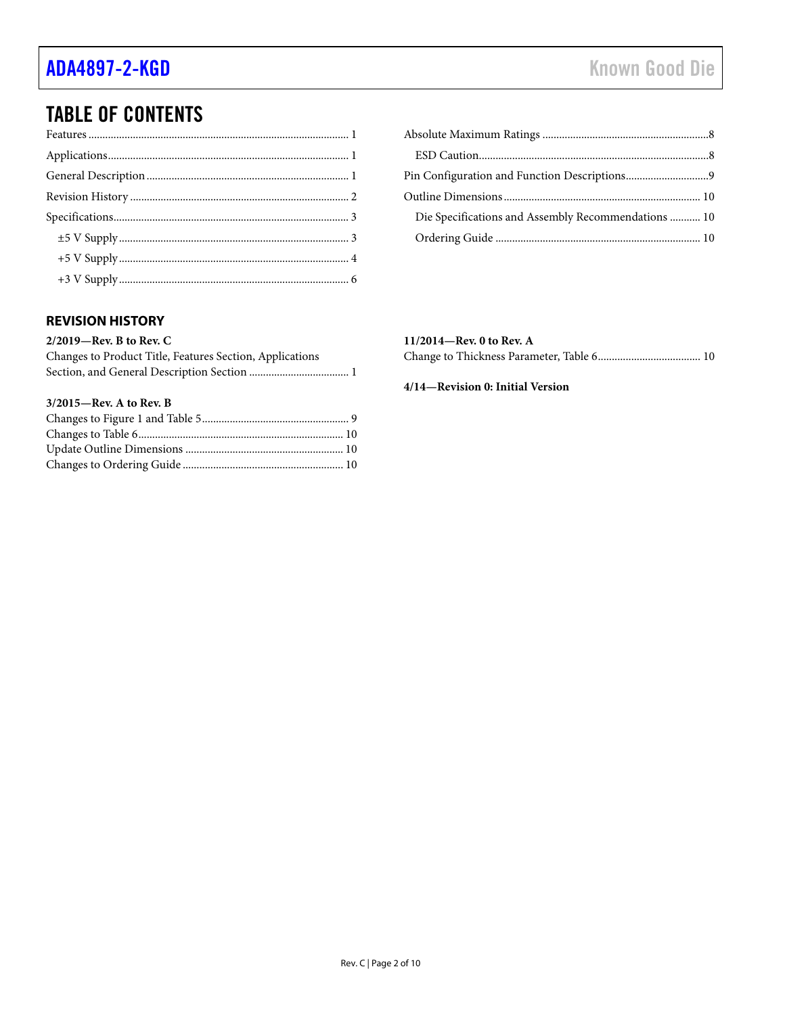# TABLE OF CONTENTS

## [Absolute Maximum Ratings ............................................................8](#page-7-0)  [ESD Caution...................................................................................8](#page-7-1)  [Pin Configuration and Function Descriptions ..............................9](#page-8-0)  [Outline Dimensions ....................................................................... 10](#page-9-0)  [Die Specifications and Assembly Recommendations ........... 10](#page-9-1)  [Ordering Guide .......................................................................... 10](#page-9-2)

## <span id="page-1-0"></span>**REVISION HISTORY**

### **2/2019—Rev. B to Rev. C**

| Changes to Product Title, Features Section, Applications |
|----------------------------------------------------------|
|                                                          |

### **3/2015—Rev. A to Rev. B**

## **11/2014—Rev. 0 to Rev. A**

|--|--|--|--|

### **4/14—Revision 0: Initial Version**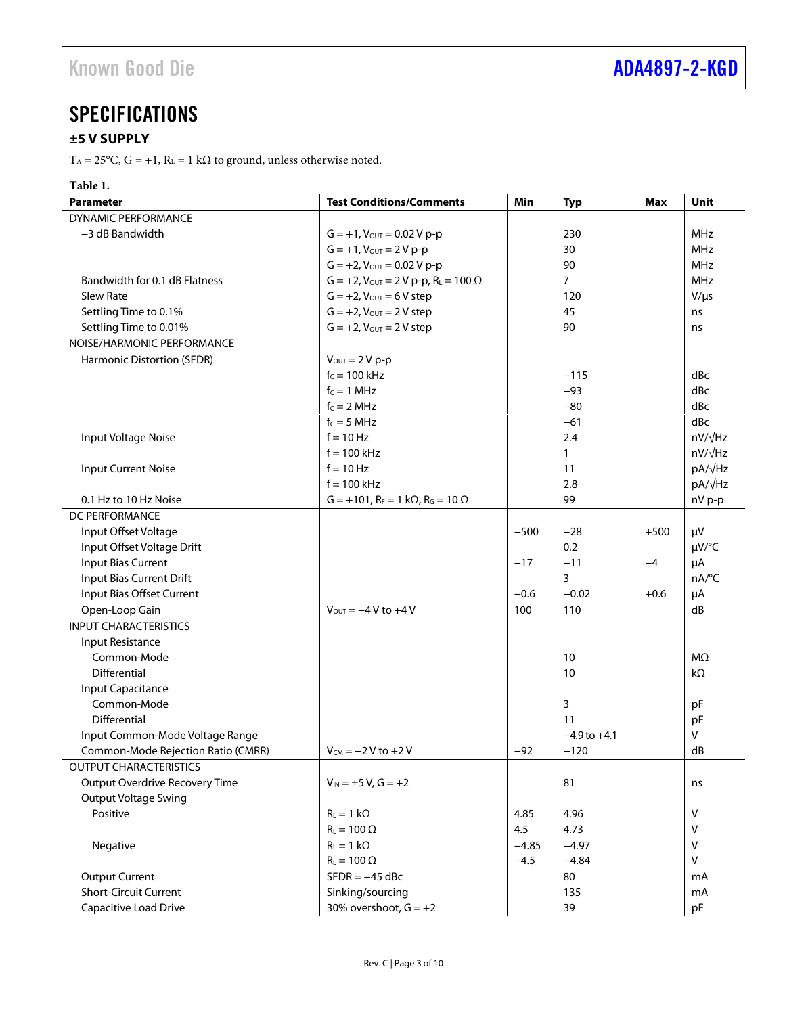# <span id="page-2-0"></span>**SPECIFICATIONS**

## <span id="page-2-1"></span>**±5 V SUPPLY**

T<sub>A</sub> = 25°C, G = +1, R<sub>L</sub> = 1 kΩ to ground, unless otherwise noted.

| <b>Parameter</b>                   | <b>Test Conditions/Comments</b>                            | Min     | <b>Typ</b>       | Max    | Unit           |
|------------------------------------|------------------------------------------------------------|---------|------------------|--------|----------------|
| DYNAMIC PERFORMANCE                |                                                            |         |                  |        |                |
| -3 dB Bandwidth                    | $G = +1$ , $V_{OUT} = 0.02 V p-p$                          |         | 230              |        | <b>MHz</b>     |
|                                    | $G = +1$ , $V_{OUT} = 2Vp-p$                               |         | 30               |        | MHz            |
|                                    | $G = +2$ , $V_{OUT} = 0.02 V p-p$                          |         | 90               |        | MHz            |
| Bandwidth for 0.1 dB Flatness      | $G = +2$ , $V_{\text{OUT}} = 2 V p-p$ , $R_L = 100 \Omega$ |         | $\overline{7}$   |        | MHz            |
| <b>Slew Rate</b>                   | $G = +2$ , $V_{\text{OUT}} = 6 V$ step                     |         | 120              |        | $V/\mu s$      |
| Settling Time to 0.1%              | $G = +2$ , $V_{OUT} = 2 V$ step                            |         | 45               |        | ns             |
| Settling Time to 0.01%             | $G = +2$ , $V_{\text{OUT}} = 2 V$ step                     |         | 90               |        | ns             |
| NOISE/HARMONIC PERFORMANCE         |                                                            |         |                  |        |                |
| Harmonic Distortion (SFDR)         | $V_{\text{OUT}} = 2 V p-p$                                 |         |                  |        |                |
|                                    | $f_c = 100$ kHz                                            |         | $-115$           |        | dBc            |
|                                    | $f_c = 1$ MHz                                              |         | $-93$            |        | dBc            |
|                                    | $f_c = 2 MHz$                                              |         | $-80$            |        | dBc            |
|                                    | $f_c = 5 MHz$                                              |         | $-61$            |        | dBc            |
| Input Voltage Noise                | $f = 10$ Hz                                                |         | 2.4              |        | $nV/\sqrt{Hz}$ |
|                                    | $f = 100$ kHz                                              |         | $\mathbf{1}$     |        | nV/√Hz         |
| <b>Input Current Noise</b>         | $f = 10$ Hz                                                |         | 11               |        | pA/√Hz         |
|                                    | $f = 100$ kHz                                              |         | 2.8              |        | pA/√Hz         |
| 0.1 Hz to 10 Hz Noise              | $G = +101$ , $R_F = 1 k\Omega$ , $R_G = 10 \Omega$         |         | 99               |        | nV p-p         |
| DC PERFORMANCE                     |                                                            |         |                  |        |                |
| Input Offset Voltage               |                                                            | $-500$  | $-28$            | $+500$ | μV             |
| Input Offset Voltage Drift         |                                                            |         | 0.2              |        | µV/°C          |
| Input Bias Current                 |                                                            | $-17$   | $-11$            | -4     | μA             |
| Input Bias Current Drift           |                                                            |         | 3                |        | nA/°C          |
| Input Bias Offset Current          |                                                            | $-0.6$  | $-0.02$          | $+0.6$ | μA             |
| Open-Loop Gain                     | $V_{\text{OUT}} = -4 V$ to $+4 V$                          | 100     | 110              |        | dB             |
| <b>INPUT CHARACTERISTICS</b>       |                                                            |         |                  |        |                |
| Input Resistance                   |                                                            |         |                  |        |                |
| Common-Mode                        |                                                            |         | 10               |        | $M\Omega$      |
| Differential                       |                                                            |         | 10               |        | kΩ             |
| Input Capacitance                  |                                                            |         |                  |        |                |
| Common-Mode                        |                                                            |         | 3                |        | pF             |
| Differential                       |                                                            |         | 11               |        | pF             |
| Input Common-Mode Voltage Range    |                                                            |         | $-4.9$ to $+4.1$ |        | V              |
| Common-Mode Rejection Ratio (CMRR) | $V_{CM} = -2 V$ to +2 V                                    | $-92$   | $-120$           |        | dB             |
| OUTPUT CHARACTERISTICS             |                                                            |         |                  |        |                |
| Output Overdrive Recovery Time     | $V_{IN} = \pm 5 V$ , G = +2                                |         | 81               |        | ns             |
| <b>Output Voltage Swing</b>        |                                                            |         |                  |        |                |
| Positive                           | $R_L = 1 k\Omega$                                          | 4.85    | 4.96             |        | V              |
|                                    | $R_L = 100 \Omega$                                         | 4.5     | 4.73             |        | v              |
| Negative                           | $R_L = 1 k\Omega$                                          | $-4.85$ | $-4.97$          |        | V              |
|                                    | $R_L = 100 \Omega$                                         | $-4.5$  | $-4.84$          |        | $\mathsf{V}$   |
| <b>Output Current</b>              | $SFDR = -45$ dBc                                           |         | 80               |        | mA             |
| <b>Short-Circuit Current</b>       | Sinking/sourcing                                           |         | 135              |        | mA             |
| Capacitive Load Drive              | 30% overshoot, $G = +2$                                    |         | 39               |        | pF             |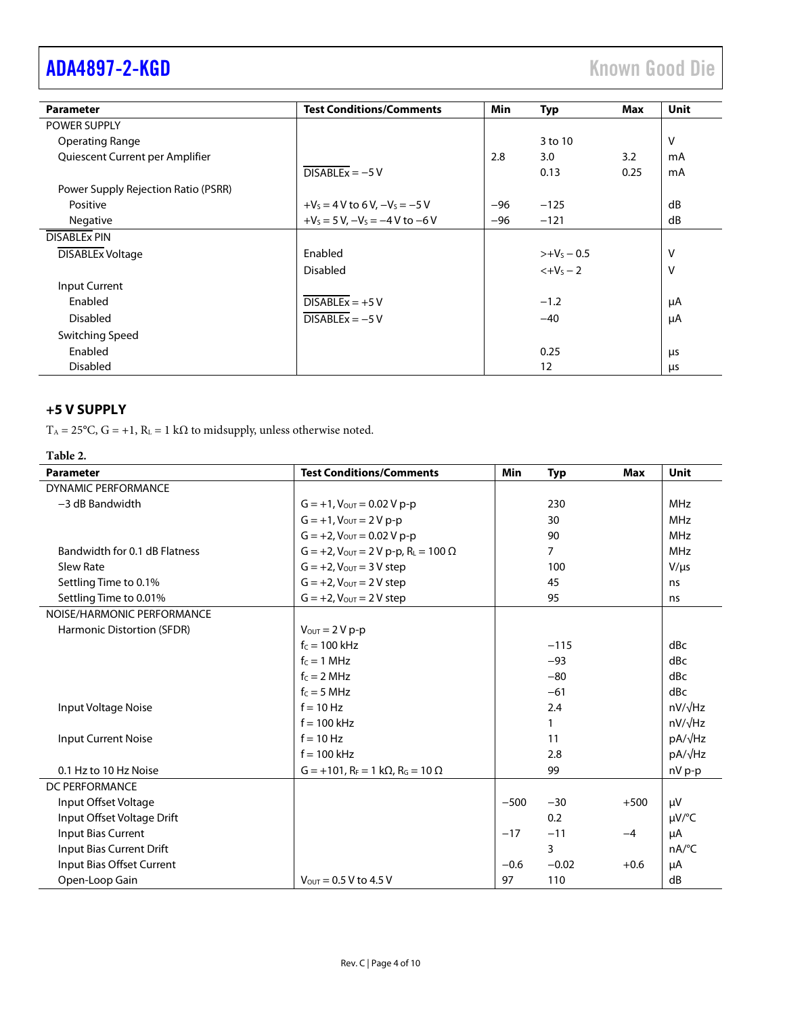| <b>Parameter</b>                    | <b>Test Conditions/Comments</b>        | Min   | <b>Typ</b>    | Max  | Unit |
|-------------------------------------|----------------------------------------|-------|---------------|------|------|
| <b>POWER SUPPLY</b>                 |                                        |       |               |      |      |
| <b>Operating Range</b>              |                                        |       | 3 to 10       |      | v    |
| Quiescent Current per Amplifier     |                                        | 2.8   | 3.0           | 3.2  | mA   |
|                                     | $DISABLEx = -5V$                       |       | 0.13          | 0.25 | mA   |
| Power Supply Rejection Ratio (PSRR) |                                        |       |               |      |      |
| Positive                            | $+V_s = 4 V$ to 6 V, $-V_s = -5 V$     | $-96$ | $-125$        |      | dB   |
| Negative                            | $+V_5 = 5 V$ , $-V_5 = -4 V$ to $-6 V$ | $-96$ | $-121$        |      | dB   |
| <b>DISABLEX PIN</b>                 |                                        |       |               |      |      |
| <b>DISABLEx Voltage</b>             | Enabled                                |       | $>+V_s - 0.5$ |      | V    |
|                                     | <b>Disabled</b>                        |       | $< +V_5 - 2$  |      | v    |
| <b>Input Current</b>                |                                        |       |               |      |      |
| Enabled                             | $DISABLEx = +5V$                       |       | $-1.2$        |      | μA   |
| <b>Disabled</b>                     | $DISABLEx = -5V$                       |       | $-40$         |      | μA   |
| Switching Speed                     |                                        |       |               |      |      |
| Enabled                             |                                        |       | 0.25          |      | μs   |
| <b>Disabled</b>                     |                                        |       | 12            |      | μs   |

## <span id="page-3-0"></span>**+5 V SUPPLY**

T<sub>A</sub> = 25°C, G = +1, R<sub>L</sub> = 1 kΩ to midsupply, unless otherwise noted.

## **Table 2.**

| <b>Parameter</b>              | <b>Test Conditions/Comments</b>                                | <b>Min</b> | <b>Typ</b> | <b>Max</b> | Unit                |
|-------------------------------|----------------------------------------------------------------|------------|------------|------------|---------------------|
| <b>DYNAMIC PERFORMANCE</b>    |                                                                |            |            |            |                     |
| $-3$ dB Bandwidth             | $G = +1$ , $V_{OUT} = 0.02$ V p-p                              |            | 230        |            | <b>MHz</b>          |
|                               | $G = +1$ , $V_{OUT} = 2 V p-p$                                 |            | 30         |            | <b>MHz</b>          |
|                               | $G = +2$ , $V_{OUT} = 0.02$ V p-p                              |            | 90         |            | <b>MHz</b>          |
| Bandwidth for 0.1 dB Flatness | $G = +2$ , $V_{\text{OUT}} = 2 V p - p$ , $R_{L} = 100 \Omega$ |            | 7          |            | <b>MHz</b>          |
| Slew Rate                     | $G = +2$ , $V_{OUT} = 3 V$ step                                |            | 100        |            | $V/\mu s$           |
| Settling Time to 0.1%         | $G = +2$ , $V_{OUT} = 2 V$ step                                |            | 45         |            | ns                  |
| Settling Time to 0.01%        | $G = +2$ , $V_{\text{OUT}} = 2 V$ step                         |            | 95         |            | ns                  |
| NOISE/HARMONIC PERFORMANCE    |                                                                |            |            |            |                     |
| Harmonic Distortion (SFDR)    | $V_{OUT} = 2 V p-p$                                            |            |            |            |                     |
|                               | $f_c = 100$ kHz                                                |            | $-115$     |            | dBc                 |
|                               | $f_c = 1$ MHz                                                  |            | $-93$      |            | dBc                 |
|                               | $fc = 2 MHz$                                                   |            | $-80$      |            | dBc                 |
|                               | $f_c = 5 MHz$                                                  |            | $-61$      |            | dBc                 |
| Input Voltage Noise           | $f = 10$ Hz                                                    |            | 2.4        |            | $nV/\sqrt{Hz}$      |
|                               | $f = 100$ kHz                                                  |            | 1          |            | $nV/\sqrt{Hz}$      |
| <b>Input Current Noise</b>    | $f = 10$ Hz                                                    |            | 11         |            | pA/√Hz              |
|                               | $f = 100$ kHz                                                  |            | 2.8        |            | pA/√Hz              |
| 0.1 Hz to 10 Hz Noise         | $G = +101$ , $R_F = 1 k\Omega$ , $R_G = 10 \Omega$             |            | 99         |            | nV p-p              |
| DC PERFORMANCE                |                                                                |            |            |            |                     |
| Input Offset Voltage          |                                                                | $-500$     | $-30$      | $+500$     | μV                  |
| Input Offset Voltage Drift    |                                                                |            | 0.2        |            | $\mu V$ /°C         |
| Input Bias Current            |                                                                | $-17$      | $-11$      | $-4$       | μA                  |
| Input Bias Current Drift      |                                                                |            | 3          |            | $nA$ <sup>o</sup> C |
| Input Bias Offset Current     |                                                                | $-0.6$     | $-0.02$    | $+0.6$     | μA                  |
| Open-Loop Gain                | $V_{OUT} = 0.5 V$ to 4.5 V                                     | 97         | 110        |            | dB                  |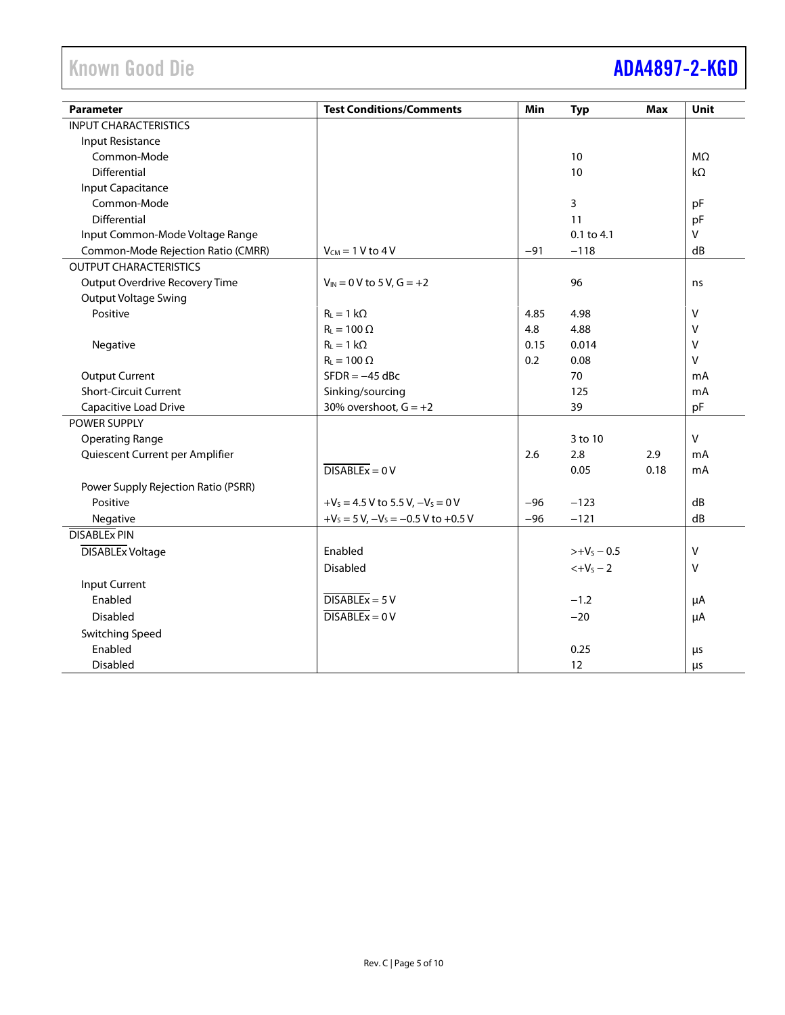# Known Good Die **[ADA4897-2-KGD](https://www.analog.com/ada4897-2-kgd?doc=ada4897-2-kgd.pdf)**

| <b>Parameter</b>                    | <b>Test Conditions/Comments</b>            | Min   | <b>Typ</b>     | <b>Max</b> | Unit         |
|-------------------------------------|--------------------------------------------|-------|----------------|------------|--------------|
| <b>INPUT CHARACTERISTICS</b>        |                                            |       |                |            |              |
| Input Resistance                    |                                            |       |                |            |              |
| Common-Mode                         |                                            |       | 10             |            | $M\Omega$    |
| Differential                        |                                            |       | 10             |            | $k\Omega$    |
| <b>Input Capacitance</b>            |                                            |       |                |            |              |
| Common-Mode                         |                                            |       | 3              |            | pF           |
| Differential                        |                                            |       | 11             |            | pF           |
| Input Common-Mode Voltage Range     |                                            |       | 0.1 to 4.1     |            | V            |
| Common-Mode Rejection Ratio (CMRR)  | $V_{CM}$ = 1 V to 4 V                      | $-91$ | $-118$         |            | dB           |
| <b>OUTPUT CHARACTERISTICS</b>       |                                            |       |                |            |              |
| Output Overdrive Recovery Time      | $V_{IN} = 0 V$ to 5 V, G = +2              |       | 96             |            | ns           |
| <b>Output Voltage Swing</b>         |                                            |       |                |            |              |
| Positive                            | $R_{L} = 1 k\Omega$                        | 4.85  | 4.98           |            | v            |
|                                     | $R_L = 100 \Omega$                         | 4.8   | 4.88           |            | v            |
| Negative                            | $R_L = 1 k\Omega$                          | 0.15  | 0.014          |            | v            |
|                                     | $R_L = 100 \Omega$                         | 0.2   | 0.08           |            | $\vee$       |
| <b>Output Current</b>               | $SFDR = -45$ dBc                           |       | 70             |            | mA           |
| <b>Short-Circuit Current</b>        | Sinking/sourcing                           |       | 125            |            | mA           |
| Capacitive Load Drive               | 30% overshoot, $G = +2$                    |       | 39             |            | pF           |
| POWER SUPPLY                        |                                            |       |                |            |              |
| <b>Operating Range</b>              |                                            |       | 3 to 10        |            | $\mathsf{V}$ |
| Quiescent Current per Amplifier     |                                            | 2.6   | 2.8            | 2.9        | mA           |
|                                     | $DISABLEx = 0V$                            |       | 0.05           | 0.18       | mA           |
| Power Supply Rejection Ratio (PSRR) |                                            |       |                |            |              |
| Positive                            | $+V_s = 4.5 V$ to 5.5 V, $-V_s = 0 V$      | $-96$ | $-123$         |            | dB           |
| Negative                            | $+V_s = 5 V$ , $-V_s = -0.5 V$ to $+0.5 V$ | $-96$ | $-121$         |            | dB           |
| <b>DISABLEX PIN</b>                 |                                            |       |                |            |              |
| <b>DISABLEx Voltage</b>             | Enabled                                    |       | $>>+V_5 - 0.5$ |            | $\vee$       |
|                                     | Disabled                                   |       | $< +VS - 2$    |            | v            |
| <b>Input Current</b>                |                                            |       |                |            |              |
| Enabled                             | $DISABLEx = 5V$                            |       | $-1.2$         |            | μA           |
| <b>Disabled</b>                     | $\overline{DISABLEx} = 0 V$                |       | $-20$          |            | μA           |
| <b>Switching Speed</b>              |                                            |       |                |            |              |
| Enabled                             |                                            |       | 0.25           |            | $\mu$ s      |
| <b>Disabled</b>                     |                                            |       | 12             |            | μs           |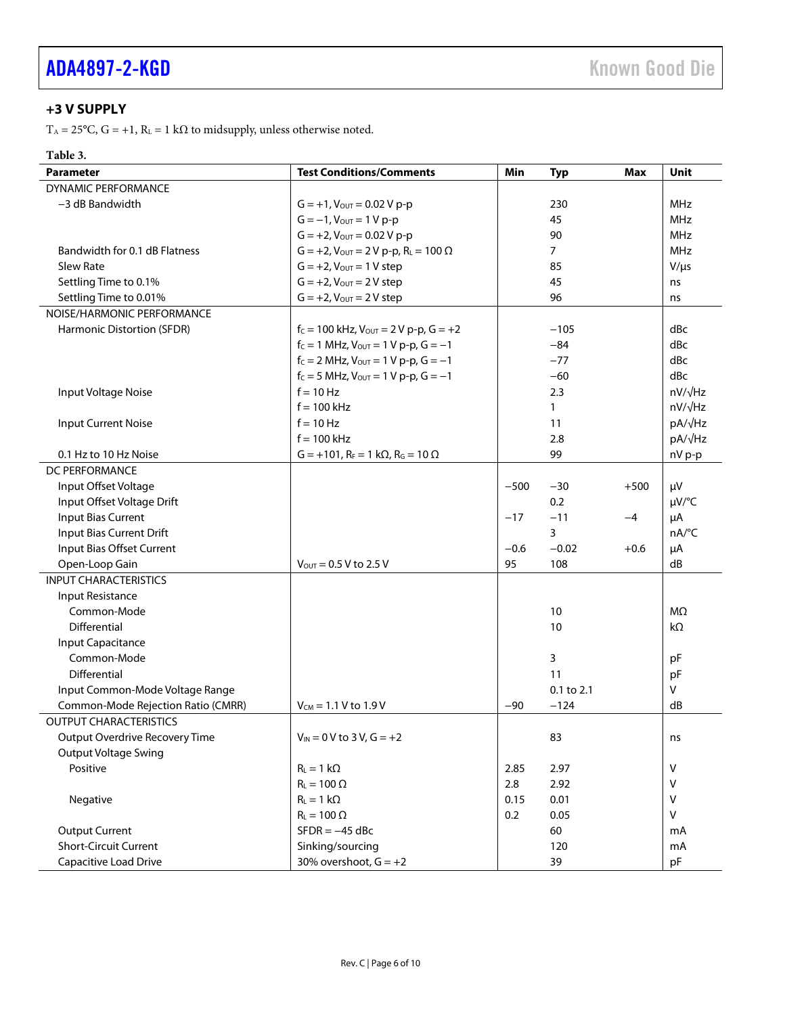## <span id="page-5-0"></span>**+3 V SUPPLY**

T<sub>A</sub> = 25°C, G = +1, R<sub>L</sub> = 1 kΩ to midsupply, unless otherwise noted.

## **Table 3.**

| <b>Parameter</b>                   | <b>Test Conditions/Comments</b>                                | Min    | <b>Typ</b>     | Max    | Unit           |
|------------------------------------|----------------------------------------------------------------|--------|----------------|--------|----------------|
| <b>DYNAMIC PERFORMANCE</b>         |                                                                |        |                |        |                |
| -3 dB Bandwidth                    | $G = +1$ , $V_{OUT} = 0.02 V p-p$                              |        | 230            |        | <b>MHz</b>     |
|                                    | $G = -1$ , $V_{OUT} = 1 V p-p$                                 |        | 45             |        | <b>MHz</b>     |
|                                    | $G = +2$ , $V_{\text{OUT}} = 0.02$ V p-p                       |        | 90             |        | <b>MHz</b>     |
| Bandwidth for 0.1 dB Flatness      | $G = +2$ , $V_{\text{OUT}} = 2 V p - p$ , $R_{L} = 100 \Omega$ |        | $\overline{7}$ |        | MHz            |
| Slew Rate                          | $G = +2$ , $V_{\text{OUT}} = 1$ V step                         |        | 85             |        | $V/\mu s$      |
| Settling Time to 0.1%              | $G = +2$ , $V_{OUT} = 2 V$ step                                |        | 45             |        | ns             |
| Settling Time to 0.01%             | $G = +2$ , $V_{\text{OUT}} = 2 V$ step                         |        | 96             |        | ns             |
| NOISE/HARMONIC PERFORMANCE         |                                                                |        |                |        |                |
| Harmonic Distortion (SFDR)         | $f_C = 100$ kHz, $V_{OUT} = 2 V$ p-p, $G = +2$                 |        | $-105$         |        | dBc            |
|                                    | $f_c = 1$ MHz, $V_{OUT} = 1$ V p-p, $G = -1$                   |        | $-84$          |        | dBc            |
|                                    | $f_c = 2$ MHz, $V_{\text{OUT}} = 1$ V p-p, $G = -1$            |        | $-77$          |        | dBc            |
|                                    | $f_c = 5$ MHz, $V_{OUT} = 1$ V p-p, $G = -1$                   |        | $-60$          |        | dBc            |
| Input Voltage Noise                | $f = 10$ Hz                                                    |        | 2.3            |        | $nV/\sqrt{Hz}$ |
|                                    | $f = 100$ kHz                                                  |        | $\mathbf{1}$   |        | nV/√Hz         |
| <b>Input Current Noise</b>         | $f = 10$ Hz                                                    |        | 11             |        | pA/√Hz         |
|                                    | $f = 100$ kHz                                                  |        | 2.8            |        | pA/√Hz         |
| 0.1 Hz to 10 Hz Noise              | $G = +101$ , $R_F = 1$ k $\Omega$ , $R_G = 10 \Omega$          |        | 99             |        | nV p-p         |
| DC PERFORMANCE                     |                                                                |        |                |        |                |
| Input Offset Voltage               |                                                                | $-500$ | $-30$          | $+500$ | μV             |
| Input Offset Voltage Drift         |                                                                |        | 0.2            |        | µV/°C          |
| <b>Input Bias Current</b>          |                                                                | $-17$  | $-11$          | $-4$   | μA             |
| Input Bias Current Drift           |                                                                |        | 3              |        | nA/°C          |
| Input Bias Offset Current          |                                                                | $-0.6$ | $-0.02$        | $+0.6$ | μA             |
| Open-Loop Gain                     | $V_{\text{OUT}} = 0.5 V$ to 2.5 V                              | 95     | 108            |        | dB             |
| <b>INPUT CHARACTERISTICS</b>       |                                                                |        |                |        |                |
| Input Resistance                   |                                                                |        |                |        |                |
| Common-Mode                        |                                                                |        | 10             |        | MΩ             |
| Differential                       |                                                                |        | 10             |        | kΩ             |
| Input Capacitance                  |                                                                |        |                |        |                |
| Common-Mode                        |                                                                |        | 3              |        | pF             |
| Differential                       |                                                                |        | 11             |        | pF             |
| Input Common-Mode Voltage Range    |                                                                |        | 0.1 to 2.1     |        | v              |
| Common-Mode Rejection Ratio (CMRR) | $V_{CM} = 1.1 V$ to 1.9 V                                      | $-90$  | $-124$         |        | dB             |
| <b>OUTPUT CHARACTERISTICS</b>      |                                                                |        |                |        |                |
| Output Overdrive Recovery Time     | $V_{IN} = 0 V$ to 3 V, $G = +2$                                |        | 83             |        | ns             |
| <b>Output Voltage Swing</b>        |                                                                |        |                |        |                |
| Positive                           | $R_L = 1 k\Omega$                                              | 2.85   | 2.97           |        | v              |
|                                    | $R_L = 100 \Omega$                                             | 2.8    | 2.92           |        | v              |
| Negative                           | $R_L = 1 k\Omega$                                              | 0.15   | 0.01           |        | V              |
|                                    | $R_L = 100 \Omega$                                             | 0.2    | 0.05           |        | v              |
| <b>Output Current</b>              | $SFDR = -45$ dBc                                               |        | 60             |        | mA             |
| <b>Short-Circuit Current</b>       | Sinking/sourcing                                               |        | 120            |        | mA             |
| Capacitive Load Drive              | 30% overshoot, $G = +2$                                        |        | 39             |        | pF             |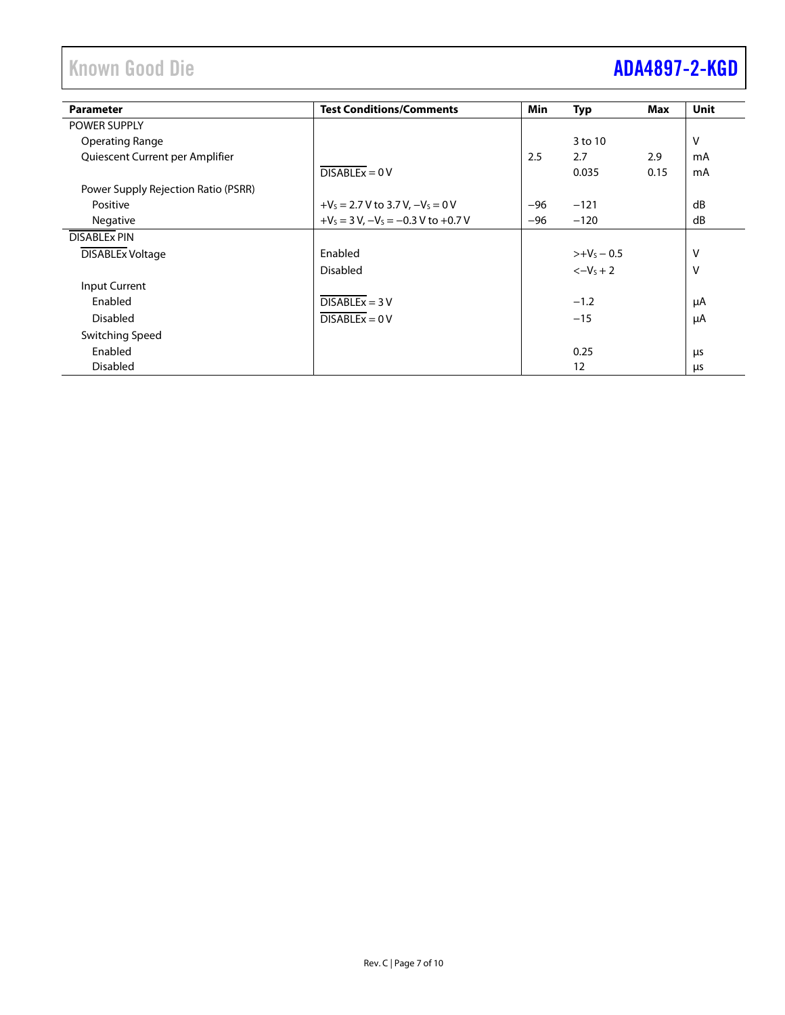# Known Good Die **[ADA4897-2-KGD](https://www.analog.com/ada4897-2-kgd?doc=ada4897-2-kgd.pdf)**

| <b>Parameter</b>                    | <b>Test Conditions/Comments</b>            | Min   | <b>Typ</b>    | Max  | <b>Unit</b> |
|-------------------------------------|--------------------------------------------|-------|---------------|------|-------------|
| <b>POWER SUPPLY</b>                 |                                            |       |               |      |             |
| Operating Range                     |                                            |       | 3 to 10       |      | v           |
| Quiescent Current per Amplifier     |                                            | 2.5   | 2.7           | 2.9  | mA          |
|                                     | $DISABLEx = 0 V$                           |       | 0.035         | 0.15 | mA          |
| Power Supply Rejection Ratio (PSRR) |                                            |       |               |      |             |
| Positive                            | $+V_s = 2.7 V$ to 3.7 V, $-V_s = 0 V$      | $-96$ | $-121$        |      | dB          |
| <b>Negative</b>                     | $+V_s = 3 V$ , $-V_s = -0.3 V$ to $+0.7 V$ | -96   | $-120$        |      | dB          |
| <b>DISABLEX PIN</b>                 |                                            |       |               |      |             |
| <b>DISABLEx Voltage</b>             | Enabled                                    |       | $>+V_5 - 0.5$ |      | V           |
|                                     | <b>Disabled</b>                            |       | $<-V_5+2$     |      | v           |
| <b>Input Current</b>                |                                            |       |               |      |             |
| Enabled                             | $DISABLEx = 3 V$                           |       | $-1.2$        |      | μA          |
| <b>Disabled</b>                     | $DISABLEx = 0 V$                           |       | $-15$         |      | μA          |
| Switching Speed                     |                                            |       |               |      |             |
| Enabled                             |                                            |       | 0.25          |      | μs          |
| <b>Disabled</b>                     |                                            |       | 12            |      | μs          |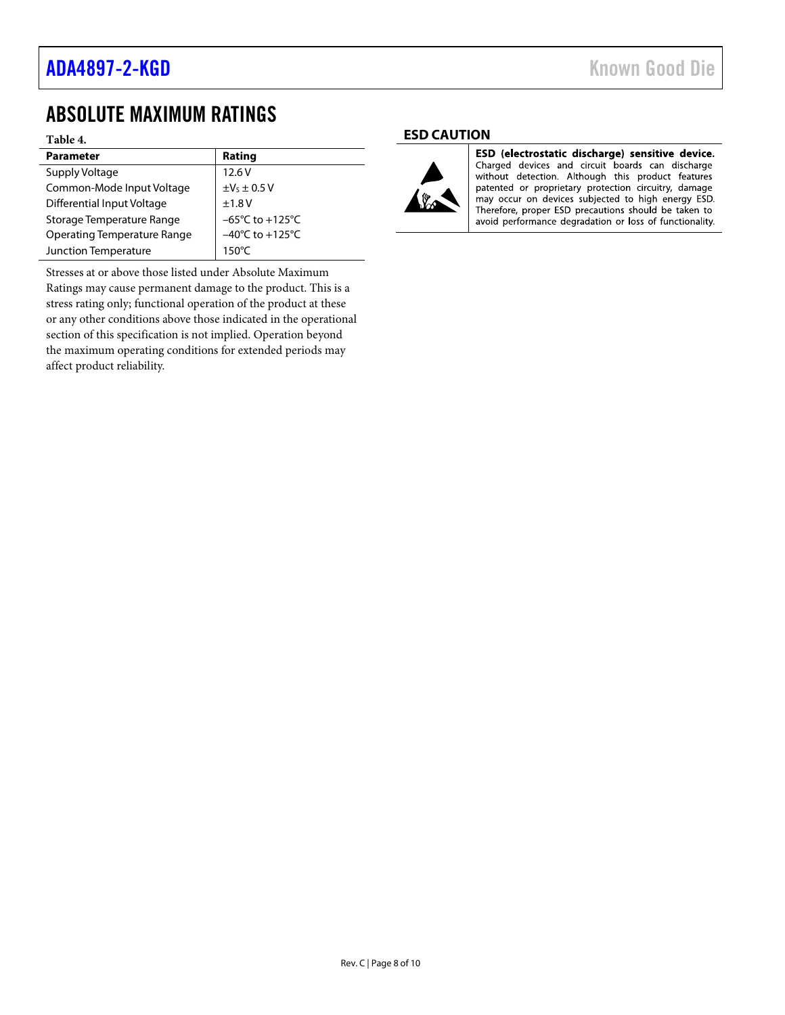## <span id="page-7-0"></span>ABSOLUTE MAXIMUM RATINGS

### **Table 4.**

| <b>Parameter</b>                   | Rating                              |
|------------------------------------|-------------------------------------|
| Supply Voltage                     | 12.6V                               |
| Common-Mode Input Voltage          | $\pm$ V <sub>s</sub> $\pm$ 0.5 V    |
| Differential Input Voltage         | ±1.8V                               |
| Storage Temperature Range          | $-65^{\circ}$ C to $+125^{\circ}$ C |
| <b>Operating Temperature Range</b> | $-40^{\circ}$ C to $+125^{\circ}$ C |
| Junction Temperature               | 150°C                               |

Stresses at or above those listed under Absolute Maximum Ratings may cause permanent damage to the product. This is a stress rating only; functional operation of the product at these or any other conditions above those indicated in the operational section of this specification is not implied. Operation beyond the maximum operating conditions for extended periods may affect product reliability.

### <span id="page-7-1"></span>**ESD CAUTION**



ESD (electrostatic discharge) sensitive device. Charged devices and circuit boards can discharge without detection. Although this product features patented or proprietary protection circuitry, damage may occur on devices subjected to high energy ESD. Therefore, proper ESD precautions should be taken to avoid performance degradation or loss of functionality.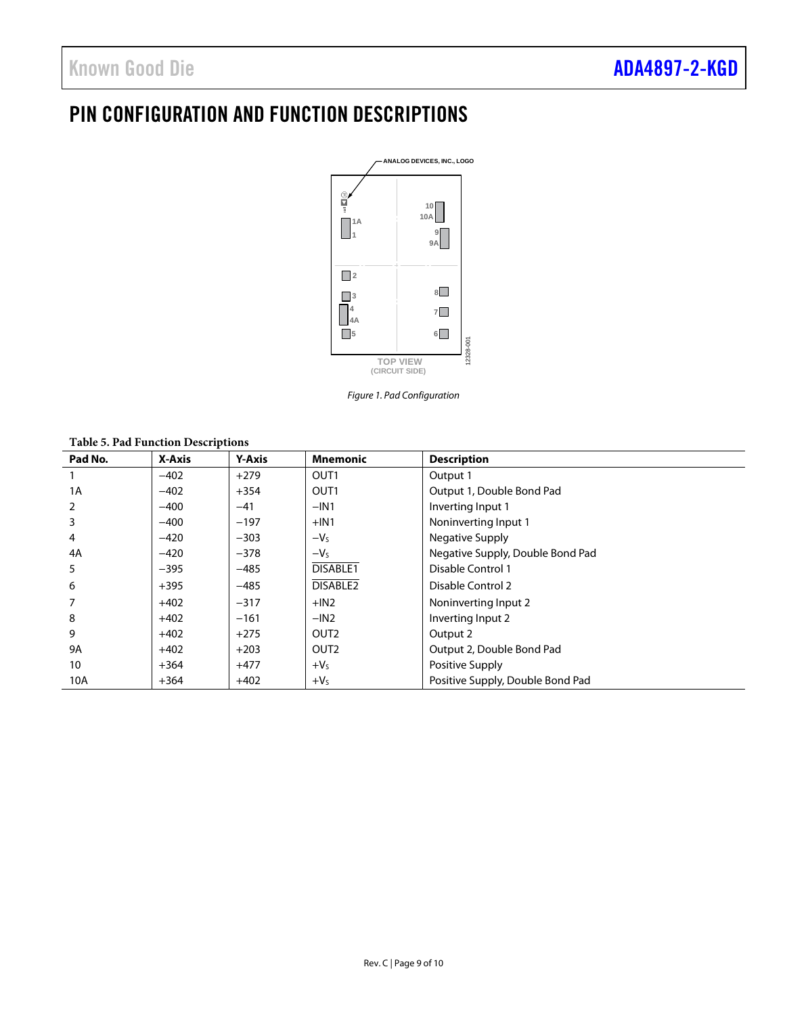# <span id="page-8-0"></span>PIN CONFIGURATION AND FUNCTION DESCRIPTIONS



*Figure 1. Pad Configuration*

**Table 5. Pad Function Descriptions**

| Pad No. | X-Axis | <b>Y-Axis</b> | <b>Mnemonic</b>      | <b>Description</b>               |
|---------|--------|---------------|----------------------|----------------------------------|
|         | $-402$ | $+279$        | OUT <sub>1</sub>     | Output 1                         |
| 1A      | $-402$ | $+354$        | OUT <sub>1</sub>     | Output 1, Double Bond Pad        |
| 2       | $-400$ | $-41$         | $-IN1$               | Inverting Input 1                |
| 3       | $-400$ | $-197$        | $+IN1$               | Noninverting Input 1             |
| 4       | $-420$ | $-303$        | $-Vs$                | Negative Supply                  |
| 4A      | $-420$ | $-378$        | $-VS$                | Negative Supply, Double Bond Pad |
| 5       | $-395$ | $-485$        | DISABLE1             | Disable Control 1                |
| 6       | $+395$ | $-485$        | DISABLE <sub>2</sub> | Disable Control 2                |
|         | $+402$ | $-317$        | $+IN2$               | Noninverting Input 2             |
| 8       | $+402$ | $-161$        | $-IN2$               | Inverting Input 2                |
| 9       | $+402$ | $+275$        | OUT <sub>2</sub>     | Output 2                         |
| 9A      | $+402$ | $+203$        | OUT <sub>2</sub>     | Output 2, Double Bond Pad        |
| 10      | $+364$ | $+477$        | $+VS$                | Positive Supply                  |
| 10A     | $+364$ | $+402$        | $+VS$                | Positive Supply, Double Bond Pad |